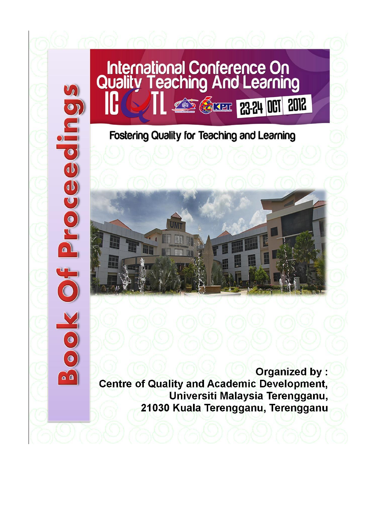

# International Conference On<br>Quality Teaching And Learning 23 Gree 23-24 001 2012

Fostering Quality for Teaching and Learning



**Organized by: Centre of Quality and Academic Development,** Universiti Malaysia Terengganu, 21030 Kuala Terengganu, Terengganu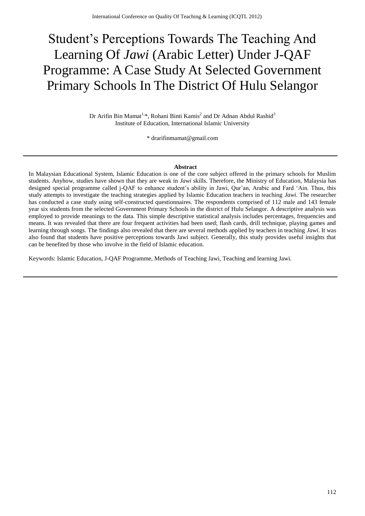# Student's Perceptions Towards The Teaching And Learning Of *Jawi* (Arabic Letter) Under J-QAF Programme: A Case Study At Selected Government Primary Schools In The District Of Hulu Selangor

Dr Arifin Bin Mamat<sup>1,\*</sup>, Rohani Binti Kamis<sup>2</sup> and Dr Adnan Abdul Rashid<sup>3</sup> Institute of Education, International Islamic University

\* drarifinmamat@gmail.com

#### **Abstract**

In Malaysian Educational System, Islamic Education is one of the core subject offered in the primary schools for Muslim students. Anyhow, studies have shown that they are weak in *Jawi* skills. Therefore, the Ministry of Education, Malaysia has designed special programme called j-QAF to enhance student's ability in Jawi, Qur'an, Arabic and Fard 'Ain. Thus, this study attempts to investigate the teaching strategies applied by Islamic Education teachers in teaching *Jawi*. The researcher has conducted a case study using self-constructed questionnaires. The respondents comprised of 112 male and 143 female year six students from the selected Government Primary Schools in the district of Hulu Selangor. A descriptive analysis was employed to provide meanings to the data. This simple descriptive statistical analysis includes percentages, frequencies and means. It was revealed that there are four frequent activities had been used; flash cards, drill technique, playing games and learning through songs. The findings also revealed that there are several methods applied by teachers in teaching *Jawi*. It was also found that students have positive perceptions towards Jawi subject. Generally, this study provides useful insights that can be benefited by those who involve in the field of Islamic education.

Keywords: Islamic Education, J-QAF Programme, Methods of Teaching Jawi, Teaching and learning Jawi.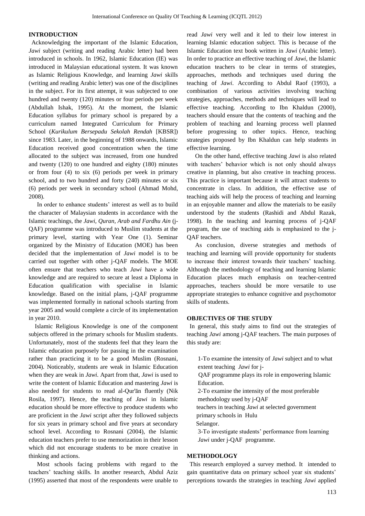### **INTRODUCTION**

Acknowledging the important of the Islamic Education, *Jawi* subject (writing and reading Arabic letter) had been introduced in schools. In 1962, Islamic Education (IE) was introduced in Malaysian educational system. It was known as Islamic Religious Knowledge, and learning *Jawi* skills (writing and reading Arabic letter) was one of the disciplines in the subject. For its first attempt, it was subjected to one hundred and twenty (120) minutes or four periods per week (Abdullah Ishak, 1995). At the moment, the Islamic Education syllabus for primary school is prepared by a curriculum named Integrated Curriculum for Primary School (*Kurikulum Bersepadu Sekolah Rendah* [KBSR]) since 1983. Later, in the beginning of 1988 onwards, Islamic Education received good concentration when the time allocated to the subject was increased, from one hundred and twenty (120) to one hundred and eighty (180) minutes or from four (4) to six (6) periods per week in primary school, and to two hundred and forty (240) minutes or six (6) periods per week in secondary school (Ahmad Mohd, 2008).

In order to enhance students' interest as well as to build the character of Malaysian students in accordance with the Islamic teachings, the *Jawi, Quran, Arab and Fardhu Ain* (j-QAF) programme was introduced to Muslim students at the primary level, starting with Year One (1). Seminar organized by the Ministry of Education (MOE) has been decided that the implementation of *Jawi* model is to be carried out together with other j-QAF models. The MOE often ensure that teachers who teach *Jawi* have a wide knowledge and are required to secure at least a Diploma in Education qualification with specialise in Islamic knowledge. Based on the initial plans, j-QAF programme was implemented formally in national schools starting from year 2005 and would complete a circle of its implementation in year 2010.

 Islamic Religious Knowledge is one of the component subjects offered in the primary schools for Muslim students. Unfortunately, most of the students feel that they learn the Islamic education purposely for passing in the examination rather than practicing it to be a good Muslim (Rosnani, 2004). Noticeably, students are weak in Islamic Education when they are weak in *Jawi*. Apart from that, *Jawi* is used to write the content of Islamic Education and mastering *Jawi* is also needed for students to read al-Qur'ān fluently (Nik Rosila, 1997). Hence, the teaching of *Jawi* in Islamic education should be more effective to produce students who are proficient in the *Jawi* script after they followed subjects for six years in primary school and five years at secondary school level. According to Rosnani (2004), the Islamic education teachers prefer to use memorization in their lesson which did not encourage students to be more creative in thinking and actions.

Most schools facing problems with regard to the teachers' teaching skills. In another research, Abdul Aziz (1995) asserted that most of the respondents were unable to read *Jawi* very well and it led to their low interest in learning Islamic education subject. This is because of the Islamic Education text book written in *Jawi* (Arabic letter). In order to practice an effective teaching of *Jawi*, the Islamic education teachers to be clear in terms of strategies, approaches, methods and techniques used during the teaching of *Jawi*. According to Abdul Raof (1993), a combination of various activities involving teaching strategies, approaches, methods and techniques will lead to effective teaching. According to Ibn Khaldun (2000), teachers should ensure that the contents of teaching and the problem of teaching and learning process well planned before progressing to other topics. Hence, teaching strategies proposed by Ibn Khaldun can help students in effective learning.

On the other hand, effective teaching *Jawi* is also related with teachers' behavior which is not only should always creative in planning, but also creative in teaching process. This practice is important because it will attract students to concentrate in class. In addition, the effective use of teaching aids will help the process of teaching and learning in an enjoyable manner and allow the materials to be easily understood by the students (Rashidi and Abdul Razak, 1998). In the teaching and learning process of j-QAF program, the use of teaching aids is emphasized to the j-QAF teachers.

As conclusion, diverse strategies and methods of teaching and learning will provide opportunity for students to increase their interest towards their teachers' teaching. Although the methodology of teaching and learning Islamic Education places much emphasis on teacher-centred approaches, teachers should be more versatile to use appropriate strategies to enhance cognitive and psychomotor skills of students.

#### **OBJECTIVES OF THE STUDY**

In general, this study aims to find out the strategies of teaching *Jawi* among j-QAF teachers. The main purposes of this study are:

1-To examine the intensity of *Jawi* subject and to what extent teaching *Jawi* for j-

QAF programme plays its role in empowering Islamic Education.

2-To examine the intensity of the most preferable methodology used by j-QAF

teachers in teaching *Jawi* at selected government primary schools in Hulu

Selangor.

3-To investigate students' performance from learning *Jawi* under j-QAF programme.

#### **METHODOLOGY**

This research employed a survey method. It intended to gain quantitative data on primary school year six students' perceptions towards the strategies in teaching *Jawi* applied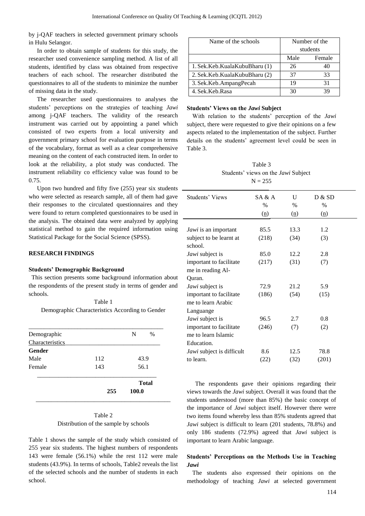by j-QAF teachers in selected government primary schools in Hulu Selangor.

In order to obtain sample of students for this study, the researcher used convenience sampling method. A list of all students, identified by class was obtained from respective teachers of each school. The researcher distributed the questionnaires to all of the students to minimize the number of missing data in the study.

The researcher used questionnaires to analyses the students' perceptions on the strategies of teaching *Jawi* among j-QAF teachers. The validity of the research instrument was carried out by appointing a panel which consisted of two experts from a local university and government primary school for evaluation purpose in terms of the vocabulary, format as well as a clear comprehensive meaning on the content of each constructed item. In order to look at the reliability, a plot study was conducted. The instrument reliability co efficiency value was found to be 0.75.

Upon two hundred and fifty five (255) year six students. who were selected as research sample, all of them had gave their responses to the circulated questionnaires and they were found to return completed questionnaires to be used in the analysis. The obtained data were analyzed by applying statistical method to gain the required information using Statistical Package for the Social Science (SPSS).

#### **RESEARCH FINDINGS**

#### **Students' Demographic Background**

This section presents some background information about the respondents of the present study in terms of gender and schools.

Table 1 Demographic Characteristics According to Gender

|                 | 255 | 100.0 | <b>Total</b> |
|-----------------|-----|-------|--------------|
| Female          | 143 |       | 56.1         |
| Male            | 112 |       | 43.9         |
| Gender          |     |       |              |
| Characteristics |     |       |              |
| Demographic     |     | N     | $\%$         |

|                                       | Table 2 |  |  |
|---------------------------------------|---------|--|--|
| Distribution of the sample by schools |         |  |  |

Table 1 shows the sample of the study which consisted of 255 year six students. The highest numbers of respondents 143 were female (56.1%) while the rest 112 were male students (43.9%). In terms of schools, Table2 reveals the list of the selected schools and the number of students in each school.

| Name of the schools               | Number of the |        |
|-----------------------------------|---------------|--------|
|                                   | students      |        |
|                                   | Male          | Female |
| 1. Sek. Keb. Kuala Kubu Bharu (1) | 26            | 40     |
| 2. Sek. Keb. Kuala Kubu Bharu (2) | 37            | 33     |
| 3. Sek. Keb. Ampang Pecah         | 19            | 31     |
| 4. Sek. Keb. Rasa                 | 30            | ٩q     |

#### **Students' Views on the** *Jawi* **Subject**

With relation to the students' perception of the *Jawi* subject, there were requested to give their opinions on a few aspects related to the implementation of the subject. Further details on the students' agreement level could be seen in Table 3.

| Table 3                                    |  |
|--------------------------------------------|--|
| Students' views on the <i>Jawi</i> Subject |  |
| $N = 255$                                  |  |

| <b>Students' Views</b>    | SA & A | U    | D & SD |  |
|---------------------------|--------|------|--------|--|
|                           | $\%$   | $\%$ | $\%$   |  |
|                           | (n)    | (n)  | (n)    |  |
|                           |        |      |        |  |
| Jawi is an important      | 85.5   | 13.3 | 1.2    |  |
| subject to be learnt at   | (218)  | (34) | (3)    |  |
| school.                   |        |      |        |  |
| Jawi subject is           | 85.0   | 12.2 | 2.8    |  |
| important to facilitate   | (217)  | (31) | (7)    |  |
| me in reading Al-         |        |      |        |  |
| Quran.                    |        |      |        |  |
| Jawi subject is           | 72.9   | 21.2 | 5.9    |  |
| important to facilitate   | (186)  | (54) | (15)   |  |
| me to learn Arabic        |        |      |        |  |
| Languange                 |        |      |        |  |
| Jawi subject is           | 96.5   | 2.7  | 0.8    |  |
| important to facilitate   | (246)  | (7)  | (2)    |  |
| me to learn Islamic       |        |      |        |  |
| Education.                |        |      |        |  |
| Jawi subject is difficult | 8.6    | 12.5 | 78.8   |  |
| to learn.                 | (22)   | (32) | (201)  |  |
|                           |        |      |        |  |

The respondents gave their opinions regarding their views towards the *Jawi* subject. Overall it was found that the students understood (more than 85%) the basic concept of the importance of *Jawi* subject itself. However there were two items found whereby less than 85% students agreed that *Jawi* subject is difficult to learn (201 students, 78.8%) and only 186 students (72.9%) agreed that *Jawi* subject is important to learn Arabic language.

### **Students' Perceptions on the Methods Use in Teaching**  *Jawi*

The students also expressed their opinions on the methodology of teaching *Jawi* at selected government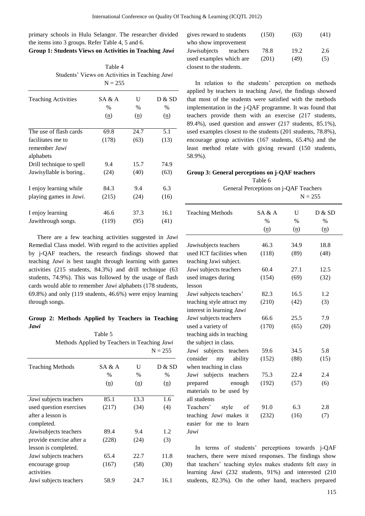primary schools in Hulu Selangor. The researcher divided the items into 3 groups. Refer Table 4, 5 and 6.

#### **Group 1: Students Views on Activities in Teaching** *Jawi*

| Table 4                                        |
|------------------------------------------------|
| Students' Views on Activities in Teaching Jawi |
| $N = 255$                                      |
|                                                |

| <b>Teaching Activities</b>    | SA & A | U    | D & SD |  |
|-------------------------------|--------|------|--------|--|
|                               | $\%$   | $\%$ | $\%$   |  |
|                               | (n)    | (n)  | (n)    |  |
| The use of flash cards        | 69.8   | 24.7 | 5.1    |  |
| facilitates me to             | (178)  | (63) | (13)   |  |
| remember Jawi                 |        |      |        |  |
| alphabets                     |        |      |        |  |
| Drill technique to spell      | 9.4    | 15.7 | 74.9   |  |
| <i>Jawisyllable is boring</i> | (24)   | (40) | (63)   |  |
| I enjoy learning while        | 84.3   | 9.4  | 6.3    |  |
| playing games in Jawi.        | (215)  | (24) | (16)   |  |
| I enjoy learning              | 46.6   | 37.3 | 16.1   |  |
| <i>Jawithrough songs.</i>     | (119)  | (95) | (41)   |  |

There are a few teaching activities suggested in *Jawi* Remedial Class model. With regard to the activities applied by j-QAF teachers, the research findings showed that teaching *Jawi* is best taught through learning with games activities (215 students, 84.3%) and drill technique (63 students, 74.9%). This was followed by the usage of flash cards would able to remember *Jawi* alphabets (178 students, 69.8%) and only (119 students, 46.6%) were enjoy learning through songs.

## **Group 2: Methods Applied by Teachers in Teaching**  *Jawi*

Table 5 Methods Applied by Teachers in Teaching *Jawi*  $N = 255$ 

|                          |        |                              | $19 - 2.33$ |
|--------------------------|--------|------------------------------|-------------|
| <b>Teaching Methods</b>  | SA & A | U                            | D & SD      |
|                          | $\%$   | $\%$                         | $\%$        |
|                          | (n)    | $\overline{(\underline{n})}$ | (n)         |
| Jawi subjects teachers   | 85.1   | 13.3                         | 1.6         |
| used question exercises  | (217)  | (34)                         | (4)         |
| after a lesson is        |        |                              |             |
| completed.               |        |                              |             |
| Jawisubjects teachers    | 89.4   | 9.4                          | 1.2         |
| provide exercise after a | (228)  | (24)                         | (3)         |
| lesson is completed.     |        |                              |             |
| Jawi subjects teachers   | 65.4   | 22.7                         | 11.8        |
| encourage group          | (167)  | (58)                         | (30)        |
| activities               |        |                              |             |
| Jawi subjects teachers   | 58.9   | 24.7                         | 16.1        |

| gives reward to students |          | (150) | (63) | (41) |
|--------------------------|----------|-------|------|------|
| who show improvement     |          |       |      |      |
| <i>Jawisubjects</i>      | teachers | 78.8  | 19.2 | 2.6  |
| used examples which are  |          | (201) | (49) | (5)  |
| closest to the students. |          |       |      |      |

In relation to the students' perception on methods applied by teachers in teaching *Jawi*, the findings showed that most of the students were satisfied with the methods implementation in the j-QAF programme. It was found that teachers provide them with an exercise (217 students, 89.4%), used question and answer (217 students, 85.1%), used examples closest to the students (201 students, 78.8%), encourage group activities (167 students, 65.4%) and the least method relate with giving reward (150 students, 58.9%).

# **Group 3: General perceptions on j-QAF teachers**

Table 6

General Perceptions on j-QAF Teachers  $N = 255$ 

| <b>Teaching Methods</b>                                  | SA & A        | U             | D & SD        |
|----------------------------------------------------------|---------------|---------------|---------------|
|                                                          | $\frac{0}{0}$ | $\frac{0}{0}$ | $\frac{0}{0}$ |
|                                                          | (n)           | (n)           | (n)           |
|                                                          | 46.3          | 34.9          | 18.8          |
| <i>Jawisubjects teachers</i><br>used ICT facilities when |               |               |               |
|                                                          | (118)         | (89)          | (48)          |
| teaching Jawi subject.                                   |               |               |               |
| Jawi subjects teachers                                   | 60.4          | 27.1          | 12.5          |
| used images during                                       | (154)         | (69)          | (32)          |
| lesson                                                   |               |               |               |
| <i>Jawi</i> subjects teachers'                           | 82.3          | 16.5          | 1.2           |
| teaching style attract my                                | (210)         | (42)          | (3)           |
| interest in learning Jawi                                |               |               |               |
| Jawi subjects teachers                                   | 66.6          | 25.5          | 7.9           |
| used a variety of                                        | (170)         | (65)          | (20)          |
| teaching aids in teaching                                |               |               |               |
| the subject in class.                                    |               |               |               |
| Jawi subjects<br>teachers                                | 59.6          | 34.5          | 5.8           |
| consider<br>my<br>ability                                | (152)         | (88)          | (15)          |
| when teaching in class                                   |               |               |               |
| subjects<br>Jawi<br>teachers                             | 75.3          | 22.4          | 2.4           |
| prepared<br>enough                                       | (192)         | (57)          | (6)           |
| materials to be used by                                  |               |               |               |
| all students                                             |               |               |               |
| Teachers'<br>style<br>of                                 | 91.0          | 6.3           | 2.8           |
| teaching Jawi makes it                                   | (232)         | (16)          | (7)           |
| easier for me to learn                                   |               |               |               |
| Jawi                                                     |               |               |               |

In terms of students' perceptions towards j-QAF teachers, there were mixed responses. The findings show that teachers' teaching styles makes students felt easy in learning *Jawi* (232 students, 91%) and interested (210 students, 82.3%). On the other hand, teachers prepared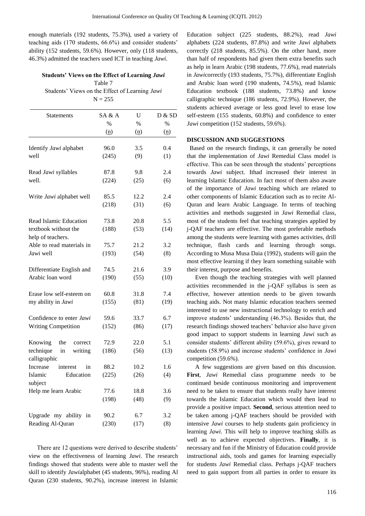enough materials (192 students, 75.3%), used a variety of teaching aids (170 students, 66.6%) and consider students' ability (152 students, 59.6%). However, only (118 students, 46.3%) admitted the teachers used ICT in teaching *Jawi*.

# **Students' Views on the Effect of Learning** *Jawi* Table 7 Students' Views on the Effect of Learning *Jawi*

 $N = 255$ 

| Statements                                 | SA & A                       | U                         | D & SD |
|--------------------------------------------|------------------------------|---------------------------|--------|
|                                            | $\%$                         | $\%$                      | $\%$   |
|                                            | $\left(\underline{n}\right)$ | $\overline{(\mathbf{n})}$ | (n)    |
| Identify Jawi alphabet                     | 96.0                         | 3.5                       | 0.4    |
| well                                       | (245)                        | (9)                       | (1)    |
| Read Jawi syllables                        | 87.8                         | 9.8                       | 2.4    |
| well.                                      | (224)                        | (25)                      | (6)    |
| Write Jawi alphabet well                   | 85.5                         | 12.2                      | 2.4    |
|                                            | (218)                        | (31)                      | (6)    |
| <b>Read Islamic Education</b>              | 73.8                         | 20.8                      | 5.5    |
| textbook without the<br>help of teachers.  | (188)                        | (53)                      | (14)   |
| Able to read materials in                  | 75.7                         | 21.2                      | 3.2    |
| Jawi well                                  | (193)                        | (54)                      | (8)    |
| Differentiate English and                  | 74.5                         | 21.6                      | 3.9    |
| Arabic loan word                           | (190)                        | (55)                      | (10)   |
| Erase low self-esteem on                   | 60.8                         | 31.8                      | 7.4    |
| my ability in Jawi                         | (155)                        | (81)                      | (19)   |
| Confidence to enter <i>Jawi</i>            | 59.6                         | 33.7                      | 6.7    |
| <b>Writing Competition</b>                 | (152)                        | (86)                      | (17)   |
| Knowing<br>the<br>correct                  | 72.9                         | 22.0                      | 5.1    |
| technique<br>in<br>writing<br>calligraphic | (186)                        | (56)                      | (13)   |
| Increase<br>interest<br>in                 | 88.2                         | 10.2                      | 1.6    |
| Islamic<br>Education<br>subject            | (225)                        | (26)                      | (4)    |
| Help me learn Arabic                       | 77.6                         | 18.8                      | 3.6    |
|                                            | (198)                        | (48)                      | (9)    |
| Upgrade my ability<br>in                   | 90.2                         | 6.7                       | 3.2    |
| Reading Al-Quran                           | (230)                        | (17)                      | (8)    |

There are 12 questions were derived to describe students' view on the effectiveness of learning *Jawi*. The research findings showed that students were able to master well the skill to identify *Jawi*alphabet (45 students, 96%), reading Al Quran (230 students, 90.2%), increase interest in Islamic

Education subject (225 students, 88.2%), read *Jawi* alphabets (224 students, 87.8%) and write *Jawi* alphabets correctly (218 students, 85.5%). On the other hand, more than half of respondents had given them extra benefits such as help in learn Arabic (198 students, 77.6%), read materials in *Jawi*correctly (193 students, 75.7%), differentiate English and Arabic loan word (190 students, 74.5%), read Islamic Education textbook (188 students, 73.8%) and know calligraphic technique (186 students, 72.9%). However, the students achieved average or less good level to erase low self-esteem (155 students, 60.8%) and confidence to enter *Jawi* competition (152 students, 59.6%).

#### **DISCUSSION AND SUGGESTIONS**

Based on the research findings, it can generally be noted that the implementation of *Jawi* Remedial Class model is effective. This can be seen through the students' perceptions towards *Jawi* subject. Ithad increased their interest in learning Islamic Education. In fact most of them also aware of the importance of *Jawi* teaching which are related to other components of Islamic Education such as to recite Al-Quran and learn Arabic Language. In terms of teaching activities and methods suggested in *Jawi* Remedial class, most of the students feel that teaching strategies applied by j-QAF teachers are effective. The most preferable methods among the students were learning with games activities, drill technique, flash cards and learning through songs. According to Musa Musa Daia (1992), students will gain the most effective learning if they learn something suitable with their interest, purpose and benefits.

Even though the teaching strategies with well planned activities recommended in the j-QAF syllabus is seen as effective, however attention needs to be given towards teaching aids. Not many Islamic education teachers seemed interested to use new instructional technology to enrich and improve students' understanding (46.3%). Besides that, the research findings showed teachers' behavior also have given good impact to support students in learning *Jawi* such as consider students' different ability (59.6%), gives reward to students (58.9%) and increase students' confidence in *Jawi* competition (59.6%).

A few suggestions are given based on this discussion. **First**, *Jawi* Remedial class programme needs to be continued beside continuous monitoring and improvement need to be taken to ensure that students really have interest towards the Islamic Education which would then lead to provide a positive impact. **Second**, serious attention need to be taken among j-QAF teachers should be provided with intensive *Jawi* courses to help students gain proficiency in learning *Jawi*. This will help to improve teaching skills as well as to achieve expected objectives. **Finally**, it is necessary and fun if the Ministry of Education could provide instructional aids, tools and games for learning especially for students *Jawi* Remedial class. Perhaps j-QAF teachers need to gain support from all parties in order to ensure its